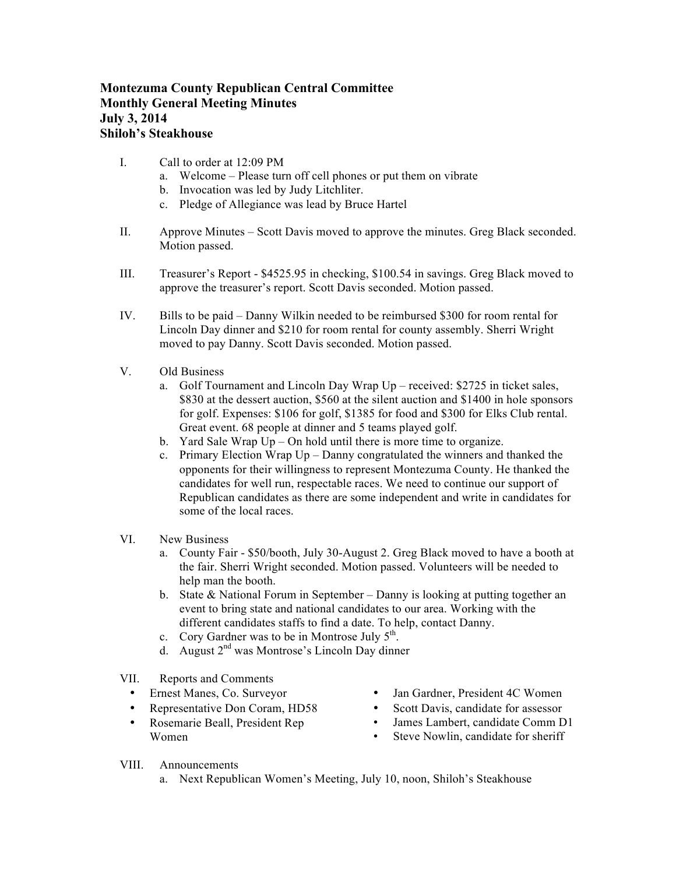## **Montezuma County Republican Central Committee Monthly General Meeting Minutes July 3, 2014 Shiloh's Steakhouse**

- I. Call to order at 12:09 PM
	- a. Welcome Please turn off cell phones or put them on vibrate
	- b. Invocation was led by Judy Litchliter.
	- c. Pledge of Allegiance was lead by Bruce Hartel
- II. Approve Minutes Scott Davis moved to approve the minutes. Greg Black seconded. Motion passed.
- III. Treasurer's Report \$4525.95 in checking, \$100.54 in savings. Greg Black moved to approve the treasurer's report. Scott Davis seconded. Motion passed.
- IV. Bills to be paid Danny Wilkin needed to be reimbursed \$300 for room rental for Lincoln Day dinner and \$210 for room rental for county assembly. Sherri Wright moved to pay Danny. Scott Davis seconded. Motion passed.
- V. Old Business
	- a. Golf Tournament and Lincoln Day Wrap Up received: \$2725 in ticket sales, \$830 at the dessert auction, \$560 at the silent auction and \$1400 in hole sponsors for golf. Expenses: \$106 for golf, \$1385 for food and \$300 for Elks Club rental. Great event. 68 people at dinner and 5 teams played golf.
	- b. Yard Sale Wrap Up On hold until there is more time to organize.
	- c. Primary Election Wrap Up Danny congratulated the winners and thanked the opponents for their willingness to represent Montezuma County. He thanked the candidates for well run, respectable races. We need to continue our support of Republican candidates as there are some independent and write in candidates for some of the local races.
- VI. New Business
	- a. County Fair \$50/booth, July 30-August 2. Greg Black moved to have a booth at the fair. Sherri Wright seconded. Motion passed. Volunteers will be needed to help man the booth.
	- b. State & National Forum in September Danny is looking at putting together an event to bring state and national candidates to our area. Working with the different candidates staffs to find a date. To help, contact Danny.
	- c. Cory Gardner was to be in Montrose July  $5<sup>th</sup>$ .
	- d. August  $2<sup>nd</sup>$  was Montrose's Lincoln Day dinner
- VII. Reports and Comments
	- Ernest Manes, Co. Surveyor
	- Representative Don Coram, HD58
	- Rosemarie Beall, President Rep Women
- Jan Gardner, President 4C Women
- Scott Davis, candidate for assessor<br>• James Lambert, candidate Comm D
- James Lambert, candidate Comm D1<br>• Steve Nowlin, candidate for sheriff
- Steve Nowlin, candidate for sheriff

- VIII. Announcements
	- a. Next Republican Women's Meeting, July 10, noon, Shiloh's Steakhouse